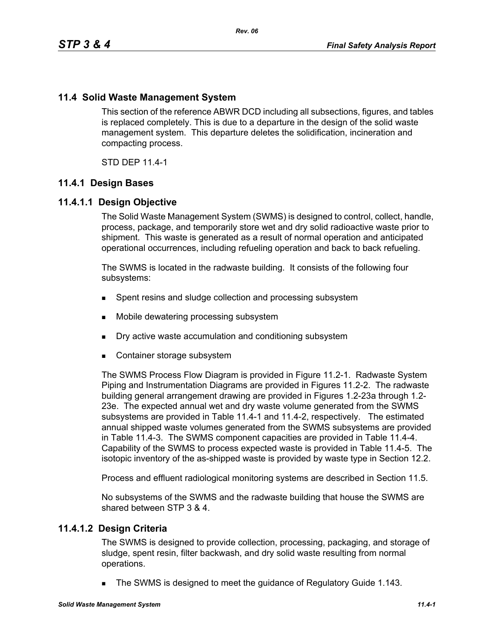# **11.4 Solid Waste Management System**

This section of the reference ABWR DCD including all subsections, figures, and tables is replaced completely. This is due to a departure in the design of the solid waste management system. This departure deletes the solidification, incineration and compacting process.

STD DEP 11.4-1

# **11.4.1 Design Bases**

# **11.4.1.1 Design Objective**

The Solid Waste Management System (SWMS) is designed to control, collect, handle, process, package, and temporarily store wet and dry solid radioactive waste prior to shipment. This waste is generated as a result of normal operation and anticipated operational occurrences, including refueling operation and back to back refueling.

The SWMS is located in the radwaste building. It consists of the following four subsystems:

- **Spent resins and sludge collection and processing subsystem**
- Mobile dewatering processing subsystem
- Dry active waste accumulation and conditioning subsystem
- Container storage subsystem

The SWMS Process Flow Diagram is provided in Figure 11.2-1. Radwaste System Piping and Instrumentation Diagrams are provided in Figures 11.2-2. The radwaste building general arrangement drawing are provided in Figures 1.2-23a through 1.2- 23e. The expected annual wet and dry waste volume generated from the SWMS subsystems are provided in Table 11.4-1 and 11.4-2, respectively. The estimated annual shipped waste volumes generated from the SWMS subsystems are provided in Table 11.4-3. The SWMS component capacities are provided in Table 11.4-4. Capability of the SWMS to process expected waste is provided in Table 11.4-5. The isotopic inventory of the as-shipped waste is provided by waste type in Section 12.2.

Process and effluent radiological monitoring systems are described in Section 11.5.

No subsystems of the SWMS and the radwaste building that house the SWMS are shared between STP 3 & 4.

# **11.4.1.2 Design Criteria**

The SWMS is designed to provide collection, processing, packaging, and storage of sludge, spent resin, filter backwash, and dry solid waste resulting from normal operations.

The SWMS is designed to meet the guidance of Regulatory Guide 1.143.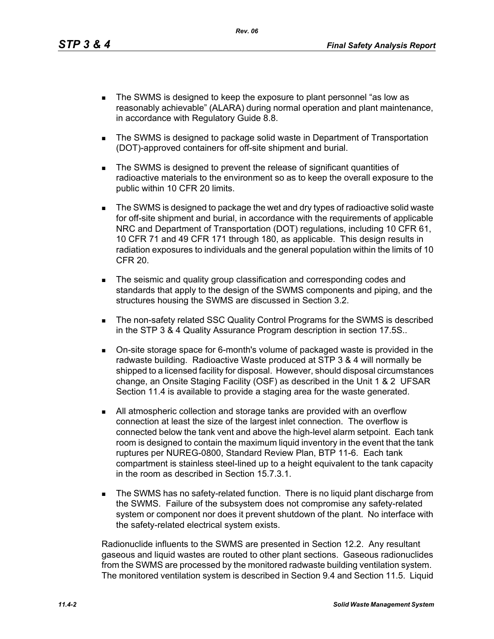- The SWMS is designed to keep the exposure to plant personnel "as low as reasonably achievable" (ALARA) during normal operation and plant maintenance, in accordance with Regulatory Guide 8.8.
- The SWMS is designed to package solid waste in Department of Transportation (DOT)-approved containers for off-site shipment and burial.
- The SWMS is designed to prevent the release of significant quantities of radioactive materials to the environment so as to keep the overall exposure to the public within 10 CFR 20 limits.
- The SWMS is designed to package the wet and dry types of radioactive solid waste for off-site shipment and burial, in accordance with the requirements of applicable NRC and Department of Transportation (DOT) regulations, including 10 CFR 61, 10 CFR 71 and 49 CFR 171 through 180, as applicable. This design results in radiation exposures to individuals and the general population within the limits of 10 CFR 20.
- The seismic and quality group classification and corresponding codes and standards that apply to the design of the SWMS components and piping, and the structures housing the SWMS are discussed in Section 3.2.
- **The non-safety related SSC Quality Control Programs for the SWMS is described** in the STP 3 & 4 Quality Assurance Program description in section 17.5S..
- On-site storage space for 6-month's volume of packaged waste is provided in the radwaste building. Radioactive Waste produced at STP 3 & 4 will normally be shipped to a licensed facility for disposal. However, should disposal circumstances change, an Onsite Staging Facility (OSF) as described in the Unit 1 & 2 UFSAR Section 11.4 is available to provide a staging area for the waste generated.
- All atmospheric collection and storage tanks are provided with an overflow connection at least the size of the largest inlet connection. The overflow is connected below the tank vent and above the high-level alarm setpoint. Each tank room is designed to contain the maximum liquid inventory in the event that the tank ruptures per NUREG-0800, Standard Review Plan, BTP 11-6. Each tank compartment is stainless steel-lined up to a height equivalent to the tank capacity in the room as described in Section 15.7.3.1.
- **The SWMS has no safety-related function. There is no liquid plant discharge from** the SWMS. Failure of the subsystem does not compromise any safety-related system or component nor does it prevent shutdown of the plant. No interface with the safety-related electrical system exists.

Radionuclide influents to the SWMS are presented in Section 12.2. Any resultant gaseous and liquid wastes are routed to other plant sections. Gaseous radionuclides from the SWMS are processed by the monitored radwaste building ventilation system. The monitored ventilation system is described in Section 9.4 and Section 11.5. Liquid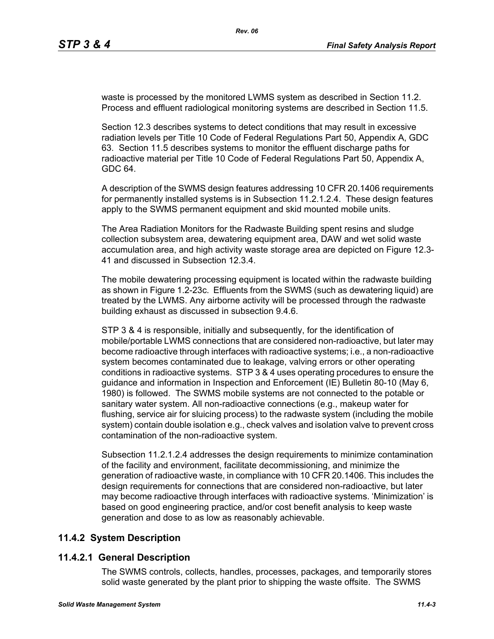waste is processed by the monitored LWMS system as described in Section 11.2. Process and effluent radiological monitoring systems are described in Section 11.5.

Section 12.3 describes systems to detect conditions that may result in excessive radiation levels per Title 10 Code of Federal Regulations Part 50, Appendix A, GDC 63. Section 11.5 describes systems to monitor the effluent discharge paths for radioactive material per Title 10 Code of Federal Regulations Part 50, Appendix A, GDC 64.

A description of the SWMS design features addressing 10 CFR 20.1406 requirements for permanently installed systems is in Subsection 11.2.1.2.4. These design features apply to the SWMS permanent equipment and skid mounted mobile units.

The Area Radiation Monitors for the Radwaste Building spent resins and sludge collection subsystem area, dewatering equipment area, DAW and wet solid waste accumulation area, and high activity waste storage area are depicted on Figure 12.3- 41 and discussed in Subsection 12.3.4.

The mobile dewatering processing equipment is located within the radwaste building as shown in Figure 1.2-23c. Effluents from the SWMS (such as dewatering liquid) are treated by the LWMS. Any airborne activity will be processed through the radwaste building exhaust as discussed in subsection 9.4.6.

STP 3 & 4 is responsible, initially and subsequently, for the identification of mobile/portable LWMS connections that are considered non-radioactive, but later may become radioactive through interfaces with radioactive systems; i.e., a non-radioactive system becomes contaminated due to leakage, valving errors or other operating conditions in radioactive systems. STP 3 & 4 uses operating procedures to ensure the guidance and information in Inspection and Enforcement (IE) Bulletin 80-10 (May 6, 1980) is followed. The SWMS mobile systems are not connected to the potable or sanitary water system. All non-radioactive connections (e.g., makeup water for flushing, service air for sluicing process) to the radwaste system (including the mobile system) contain double isolation e.g., check valves and isolation valve to prevent cross contamination of the non-radioactive system.

Subsection 11.2.1.2.4 addresses the design requirements to minimize contamination of the facility and environment, facilitate decommissioning, and minimize the generation of radioactive waste, in compliance with 10 CFR 20.1406. This includes the design requirements for connections that are considered non-radioactive, but later may become radioactive through interfaces with radioactive systems. 'Minimization' is based on good engineering practice, and/or cost benefit analysis to keep waste generation and dose to as low as reasonably achievable.

# **11.4.2 System Description**

# **11.4.2.1 General Description**

The SWMS controls, collects, handles, processes, packages, and temporarily stores solid waste generated by the plant prior to shipping the waste offsite. The SWMS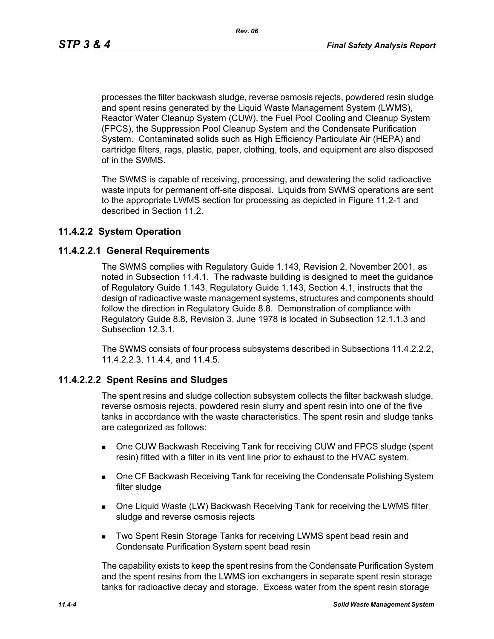processes the filter backwash sludge, reverse osmosis rejects, powdered resin sludge and spent resins generated by the Liquid Waste Management System (LWMS), Reactor Water Cleanup System (CUW), the Fuel Pool Cooling and Cleanup System (FPCS), the Suppression Pool Cleanup System and the Condensate Purification System. Contaminated solids such as High Efficiency Particulate Air (HEPA) and cartridge filters, rags, plastic, paper, clothing, tools, and equipment are also disposed of in the SWMS.

The SWMS is capable of receiving, processing, and dewatering the solid radioactive waste inputs for permanent off-site disposal. Liquids from SWMS operations are sent to the appropriate LWMS section for processing as depicted in Figure 11.2-1 and described in Section 11.2.

# **11.4.2.2 System Operation**

# **11.4.2.2.1 General Requirements**

The SWMS complies with Regulatory Guide 1.143, Revision 2, November 2001, as noted in Subsection 11.4.1. The radwaste building is designed to meet the guidance of Regulatory Guide 1.143. Regulatory Guide 1.143, Section 4.1, instructs that the design of radioactive waste management systems, structures and components should follow the direction in Regulatory Guide 8.8. Demonstration of compliance with Regulatory Guide 8.8, Revision 3, June 1978 is located in Subsection 12.1.1.3 and Subsection 12.3.1.

The SWMS consists of four process subsystems described in Subsections 11.4.2.2.2, 11.4.2.2.3, 11.4.4, and 11.4.5.

# **11.4.2.2.2 Spent Resins and Sludges**

The spent resins and sludge collection subsystem collects the filter backwash sludge, reverse osmosis rejects, powdered resin slurry and spent resin into one of the five tanks in accordance with the waste characteristics. The spent resin and sludge tanks are categorized as follows:

- One CUW Backwash Receiving Tank for receiving CUW and FPCS sludge (spent resin) fitted with a filter in its vent line prior to exhaust to the HVAC system.
- One CF Backwash Receiving Tank for receiving the Condensate Polishing System filter sludge
- One Liquid Waste (LW) Backwash Receiving Tank for receiving the LWMS filter sludge and reverse osmosis rejects
- **Two Spent Resin Storage Tanks for receiving LWMS spent bead resin and** Condensate Purification System spent bead resin

The capability exists to keep the spent resins from the Condensate Purification System and the spent resins from the LWMS ion exchangers in separate spent resin storage tanks for radioactive decay and storage. Excess water from the spent resin storage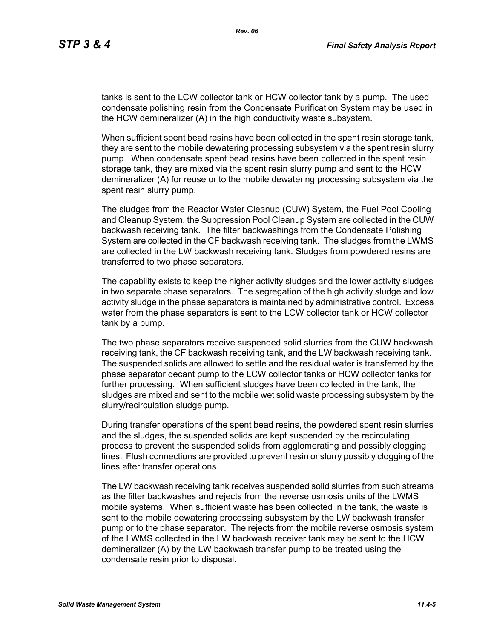tanks is sent to the LCW collector tank or HCW collector tank by a pump. The used condensate polishing resin from the Condensate Purification System may be used in the HCW demineralizer (A) in the high conductivity waste subsystem.

When sufficient spent bead resins have been collected in the spent resin storage tank, they are sent to the mobile dewatering processing subsystem via the spent resin slurry pump. When condensate spent bead resins have been collected in the spent resin storage tank, they are mixed via the spent resin slurry pump and sent to the HCW demineralizer (A) for reuse or to the mobile dewatering processing subsystem via the spent resin slurry pump.

The sludges from the Reactor Water Cleanup (CUW) System, the Fuel Pool Cooling and Cleanup System, the Suppression Pool Cleanup System are collected in the CUW backwash receiving tank. The filter backwashings from the Condensate Polishing System are collected in the CF backwash receiving tank. The sludges from the LWMS are collected in the LW backwash receiving tank. Sludges from powdered resins are transferred to two phase separators.

The capability exists to keep the higher activity sludges and the lower activity sludges in two separate phase separators. The segregation of the high activity sludge and low activity sludge in the phase separators is maintained by administrative control. Excess water from the phase separators is sent to the LCW collector tank or HCW collector tank by a pump.

The two phase separators receive suspended solid slurries from the CUW backwash receiving tank, the CF backwash receiving tank, and the LW backwash receiving tank. The suspended solids are allowed to settle and the residual water is transferred by the phase separator decant pump to the LCW collector tanks or HCW collector tanks for further processing. When sufficient sludges have been collected in the tank, the sludges are mixed and sent to the mobile wet solid waste processing subsystem by the slurry/recirculation sludge pump.

During transfer operations of the spent bead resins, the powdered spent resin slurries and the sludges, the suspended solids are kept suspended by the recirculating process to prevent the suspended solids from agglomerating and possibly clogging lines. Flush connections are provided to prevent resin or slurry possibly clogging of the lines after transfer operations.

The LW backwash receiving tank receives suspended solid slurries from such streams as the filter backwashes and rejects from the reverse osmosis units of the LWMS mobile systems. When sufficient waste has been collected in the tank, the waste is sent to the mobile dewatering processing subsystem by the LW backwash transfer pump or to the phase separator. The rejects from the mobile reverse osmosis system of the LWMS collected in the LW backwash receiver tank may be sent to the HCW demineralizer (A) by the LW backwash transfer pump to be treated using the condensate resin prior to disposal.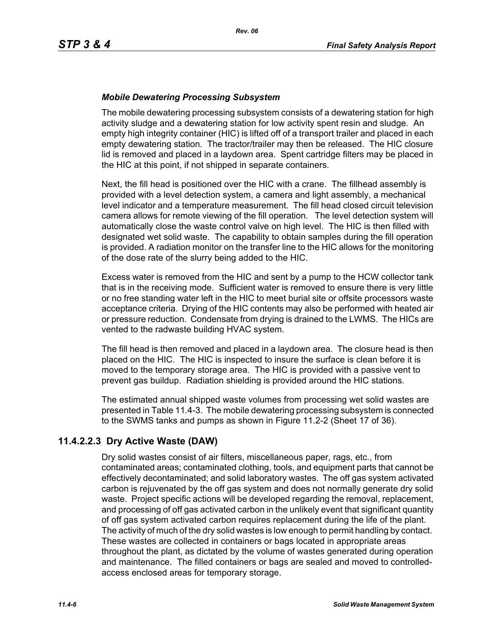# *Mobile Dewatering Processing Subsystem*

The mobile dewatering processing subsystem consists of a dewatering station for high activity sludge and a dewatering station for low activity spent resin and sludge. An empty high integrity container (HIC) is lifted off of a transport trailer and placed in each empty dewatering station. The tractor/trailer may then be released. The HIC closure lid is removed and placed in a laydown area. Spent cartridge filters may be placed in the HIC at this point, if not shipped in separate containers.

Next, the fill head is positioned over the HIC with a crane. The fillhead assembly is provided with a level detection system, a camera and light assembly, a mechanical level indicator and a temperature measurement. The fill head closed circuit television camera allows for remote viewing of the fill operation. The level detection system will automatically close the waste control valve on high level. The HIC is then filled with designated wet solid waste. The capability to obtain samples during the fill operation is provided. A radiation monitor on the transfer line to the HIC allows for the monitoring of the dose rate of the slurry being added to the HIC.

Excess water is removed from the HIC and sent by a pump to the HCW collector tank that is in the receiving mode. Sufficient water is removed to ensure there is very little or no free standing water left in the HIC to meet burial site or offsite processors waste acceptance criteria. Drying of the HIC contents may also be performed with heated air or pressure reduction. Condensate from drying is drained to the LWMS. The HICs are vented to the radwaste building HVAC system.

The fill head is then removed and placed in a laydown area. The closure head is then placed on the HIC. The HIC is inspected to insure the surface is clean before it is moved to the temporary storage area. The HIC is provided with a passive vent to prevent gas buildup. Radiation shielding is provided around the HIC stations.

The estimated annual shipped waste volumes from processing wet solid wastes are presented in Table 11.4-3. The mobile dewatering processing subsystem is connected to the SWMS tanks and pumps as shown in Figure 11.2-2 (Sheet 17 of 36).

# **11.4.2.2.3 Dry Active Waste (DAW)**

Dry solid wastes consist of air filters, miscellaneous paper, rags, etc., from contaminated areas; contaminated clothing, tools, and equipment parts that cannot be effectively decontaminated; and solid laboratory wastes. The off gas system activated carbon is rejuvenated by the off gas system and does not normally generate dry solid waste. Project specific actions will be developed regarding the removal, replacement, and processing of off gas activated carbon in the unlikely event that significant quantity of off gas system activated carbon requires replacement during the life of the plant. The activity of much of the dry solid wastes is low enough to permit handling by contact. These wastes are collected in containers or bags located in appropriate areas throughout the plant, as dictated by the volume of wastes generated during operation and maintenance. The filled containers or bags are sealed and moved to controlledaccess enclosed areas for temporary storage.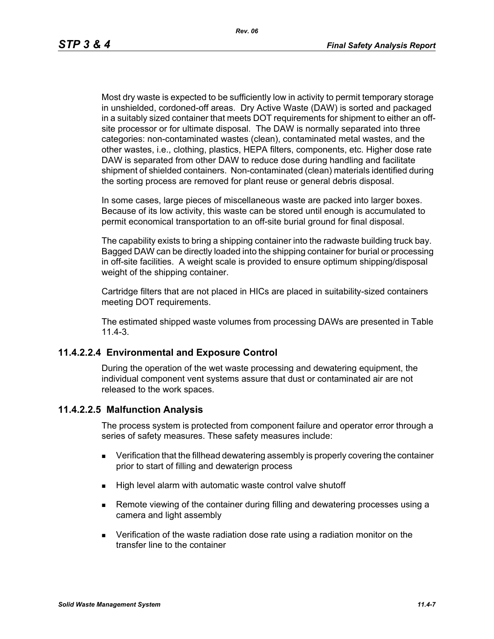Most dry waste is expected to be sufficiently low in activity to permit temporary storage in unshielded, cordoned-off areas. Dry Active Waste (DAW) is sorted and packaged in a suitably sized container that meets DOT requirements for shipment to either an offsite processor or for ultimate disposal. The DAW is normally separated into three categories: non-contaminated wastes (clean), contaminated metal wastes, and the other wastes, i.e., clothing, plastics, HEPA filters, components, etc. Higher dose rate DAW is separated from other DAW to reduce dose during handling and facilitate shipment of shielded containers. Non-contaminated (clean) materials identified during the sorting process are removed for plant reuse or general debris disposal.

In some cases, large pieces of miscellaneous waste are packed into larger boxes. Because of its low activity, this waste can be stored until enough is accumulated to permit economical transportation to an off-site burial ground for final disposal.

The capability exists to bring a shipping container into the radwaste building truck bay. Bagged DAW can be directly loaded into the shipping container for burial or processing in off-site facilities. A weight scale is provided to ensure optimum shipping/disposal weight of the shipping container.

Cartridge filters that are not placed in HICs are placed in suitability-sized containers meeting DOT requirements.

The estimated shipped waste volumes from processing DAWs are presented in Table 11.4-3.

# **11.4.2.2.4 Environmental and Exposure Control**

During the operation of the wet waste processing and dewatering equipment, the individual component vent systems assure that dust or contaminated air are not released to the work spaces.

# **11.4.2.2.5 Malfunction Analysis**

The process system is protected from component failure and operator error through a series of safety measures. These safety measures include:

- **EXECT** Verification that the fillhead dewatering assembly is properly covering the container prior to start of filling and dewaterign process
- High level alarm with automatic waste control valve shutoff
- **Remote viewing of the container during filling and dewatering processes using a** camera and light assembly
- Verification of the waste radiation dose rate using a radiation monitor on the transfer line to the container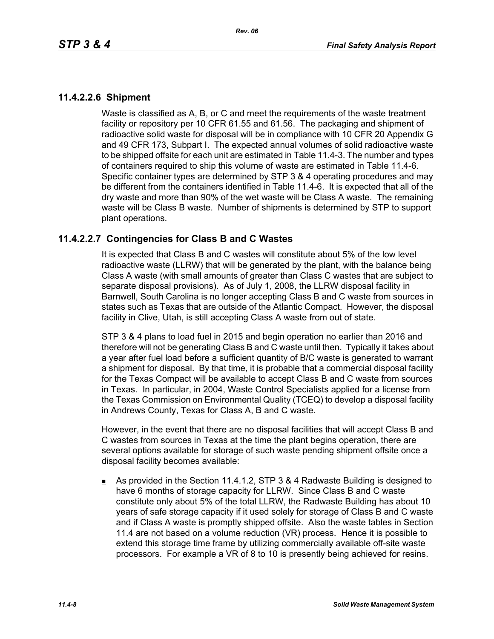# **11.4.2.2.6 Shipment**

Waste is classified as A, B, or C and meet the requirements of the waste treatment facility or repository per 10 CFR 61.55 and 61.56. The packaging and shipment of radioactive solid waste for disposal will be in compliance with 10 CFR 20 Appendix G and 49 CFR 173, Subpart I. The expected annual volumes of solid radioactive waste to be shipped offsite for each unit are estimated in Table 11.4-3. The number and types of containers required to ship this volume of waste are estimated in Table 11.4-6. Specific container types are determined by STP 3 & 4 operating procedures and may be different from the containers identified in Table 11.4-6. It is expected that all of the dry waste and more than 90% of the wet waste will be Class A waste. The remaining waste will be Class B waste. Number of shipments is determined by STP to support plant operations.

# **11.4.2.2.7 Contingencies for Class B and C Wastes**

It is expected that Class B and C wastes will constitute about 5% of the low level radioactive waste (LLRW) that will be generated by the plant, with the balance being Class A waste (with small amounts of greater than Class C wastes that are subject to separate disposal provisions). As of July 1, 2008, the LLRW disposal facility in Barnwell, South Carolina is no longer accepting Class B and C waste from sources in states such as Texas that are outside of the Atlantic Compact. However, the disposal facility in Clive, Utah, is still accepting Class A waste from out of state.

STP 3 & 4 plans to load fuel in 2015 and begin operation no earlier than 2016 and therefore will not be generating Class B and C waste until then. Typically it takes about a year after fuel load before a sufficient quantity of B/C waste is generated to warrant a shipment for disposal. By that time, it is probable that a commercial disposal facility for the Texas Compact will be available to accept Class B and C waste from sources in Texas. In particular, in 2004, Waste Control Specialists applied for a license from the Texas Commission on Environmental Quality (TCEQ) to develop a disposal facility in Andrews County, Texas for Class A, B and C waste.

However, in the event that there are no disposal facilities that will accept Class B and C wastes from sources in Texas at the time the plant begins operation, there are several options available for storage of such waste pending shipment offsite once a disposal facility becomes available:

As provided in the Section 11.4.1.2, STP 3 & 4 Radwaste Building is designed to have 6 months of storage capacity for LLRW. Since Class B and C waste constitute only about 5% of the total LLRW, the Radwaste Building has about 10 years of safe storage capacity if it used solely for storage of Class B and C waste and if Class A waste is promptly shipped offsite. Also the waste tables in Section 11.4 are not based on a volume reduction (VR) process. Hence it is possible to extend this storage time frame by utilizing commercially available off-site waste processors. For example a VR of 8 to 10 is presently being achieved for resins.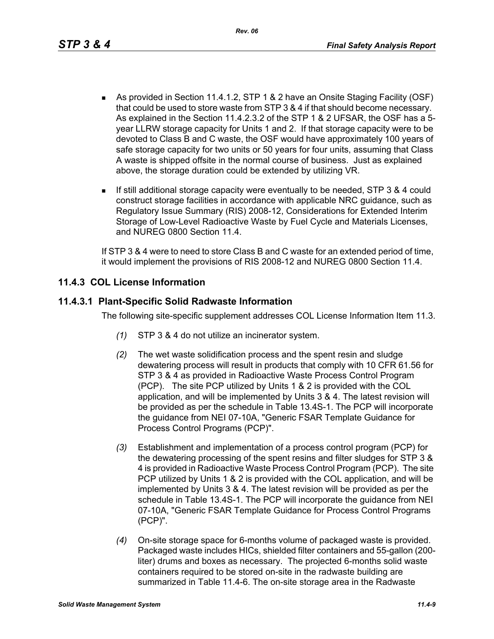- As provided in Section 11.4.1.2, STP 1 & 2 have an Onsite Staging Facility (OSF) that could be used to store waste from STP 3 & 4 if that should become necessary. As explained in the Section 11.4.2.3.2 of the STP 1 & 2 UFSAR, the OSF has a 5 year LLRW storage capacity for Units 1 and 2. If that storage capacity were to be devoted to Class B and C waste, the OSF would have approximately 100 years of safe storage capacity for two units or 50 years for four units, assuming that Class A waste is shipped offsite in the normal course of business. Just as explained above, the storage duration could be extended by utilizing VR.
- If still additional storage capacity were eventually to be needed, STP 3 & 4 could construct storage facilities in accordance with applicable NRC guidance, such as Regulatory Issue Summary (RIS) 2008-12, Considerations for Extended Interim Storage of Low-Level Radioactive Waste by Fuel Cycle and Materials Licenses, and NUREG 0800 Section 11.4.

If STP 3 & 4 were to need to store Class B and C waste for an extended period of time, it would implement the provisions of RIS 2008-12 and NUREG 0800 Section 11.4.

# **11.4.3 COL License Information**

# **11.4.3.1 Plant-Specific Solid Radwaste Information**

The following site-specific supplement addresses COL License Information Item 11.3.

- *(1)* STP 3 & 4 do not utilize an incinerator system.
- *(2)* The wet waste solidification process and the spent resin and sludge dewatering process will result in products that comply with 10 CFR 61.56 for STP 3 & 4 as provided in Radioactive Waste Process Control Program (PCP). The site PCP utilized by Units 1 & 2 is provided with the COL application, and will be implemented by Units 3 & 4. The latest revision will be provided as per the schedule in Table 13.4S-1. The PCP will incorporate the guidance from NEI 07-10A, "Generic FSAR Template Guidance for Process Control Programs (PCP)".
- *(3)* Establishment and implementation of a process control program (PCP) for the dewatering processing of the spent resins and filter sludges for STP 3 & 4 is provided in Radioactive Waste Process Control Program (PCP). The site PCP utilized by Units 1 & 2 is provided with the COL application, and will be implemented by Units 3 & 4. The latest revision will be provided as per the schedule in Table 13.4S-1. The PCP will incorporate the guidance from NEI 07-10A, "Generic FSAR Template Guidance for Process Control Programs (PCP)".
- *(4)* On-site storage space for 6-months volume of packaged waste is provided. Packaged waste includes HICs, shielded filter containers and 55-gallon (200 liter) drums and boxes as necessary. The projected 6-months solid waste containers required to be stored on-site in the radwaste building are summarized in Table 11.4-6. The on-site storage area in the Radwaste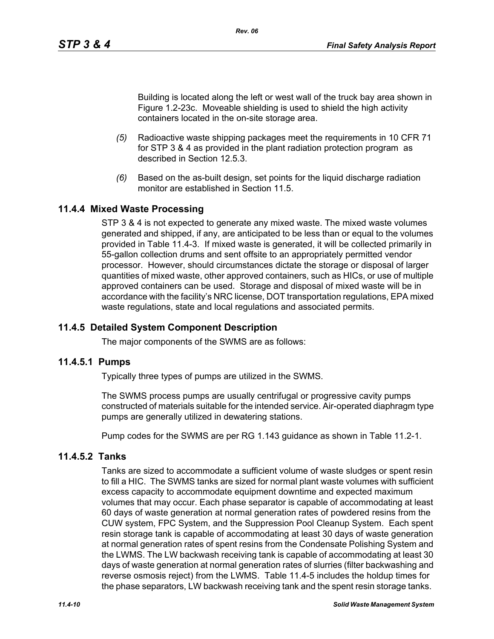Building is located along the left or west wall of the truck bay area shown in Figure 1.2-23c. Moveable shielding is used to shield the high activity containers located in the on-site storage area.

- *(5)* Radioactive waste shipping packages meet the requirements in 10 CFR 71 for STP 3 & 4 as provided in the plant radiation protection program as described in Section 12.5.3.
- *(6)* Based on the as-built design, set points for the liquid discharge radiation monitor are established in Section 11.5

# **11.4.4 Mixed Waste Processing**

STP 3 & 4 is not expected to generate any mixed waste. The mixed waste volumes generated and shipped, if any, are anticipated to be less than or equal to the volumes provided in Table 11.4-3. If mixed waste is generated, it will be collected primarily in 55-gallon collection drums and sent offsite to an appropriately permitted vendor processor. However, should circumstances dictate the storage or disposal of larger quantities of mixed waste, other approved containers, such as HICs, or use of multiple approved containers can be used. Storage and disposal of mixed waste will be in accordance with the facility's NRC license, DOT transportation regulations, EPA mixed waste regulations, state and local regulations and associated permits.

# **11.4.5 Detailed System Component Description**

The major components of the SWMS are as follows:

#### **11.4.5.1 Pumps**

Typically three types of pumps are utilized in the SWMS.

The SWMS process pumps are usually centrifugal or progressive cavity pumps constructed of materials suitable for the intended service. Air-operated diaphragm type pumps are generally utilized in dewatering stations.

Pump codes for the SWMS are per RG 1.143 guidance as shown in Table 11.2-1.

# **11.4.5.2 Tanks**

Tanks are sized to accommodate a sufficient volume of waste sludges or spent resin to fill a HIC. The SWMS tanks are sized for normal plant waste volumes with sufficient excess capacity to accommodate equipment downtime and expected maximum volumes that may occur. Each phase separator is capable of accommodating at least 60 days of waste generation at normal generation rates of powdered resins from the CUW system, FPC System, and the Suppression Pool Cleanup System. Each spent resin storage tank is capable of accommodating at least 30 days of waste generation at normal generation rates of spent resins from the Condensate Polishing System and the LWMS. The LW backwash receiving tank is capable of accommodating at least 30 days of waste generation at normal generation rates of slurries (filter backwashing and reverse osmosis reject) from the LWMS. Table 11.4-5 includes the holdup times for the phase separators, LW backwash receiving tank and the spent resin storage tanks.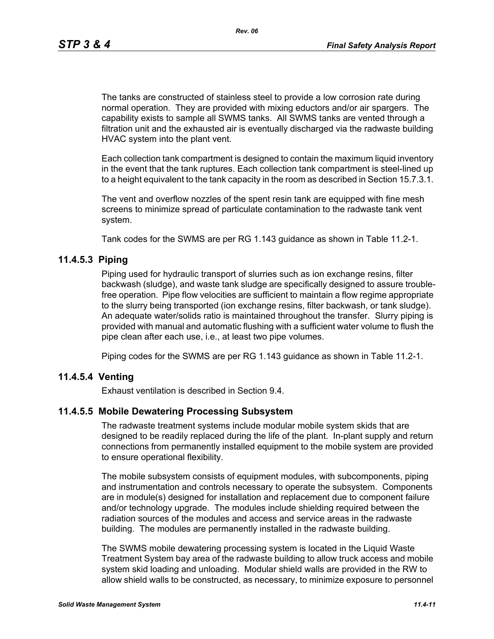The tanks are constructed of stainless steel to provide a low corrosion rate during normal operation. They are provided with mixing eductors and/or air spargers. The capability exists to sample all SWMS tanks. All SWMS tanks are vented through a filtration unit and the exhausted air is eventually discharged via the radwaste building HVAC system into the plant vent.

Each collection tank compartment is designed to contain the maximum liquid inventory in the event that the tank ruptures. Each collection tank compartment is steel-lined up to a height equivalent to the tank capacity in the room as described in Section 15.7.3.1.

The vent and overflow nozzles of the spent resin tank are equipped with fine mesh screens to minimize spread of particulate contamination to the radwaste tank vent system.

Tank codes for the SWMS are per RG 1.143 guidance as shown in Table 11.2-1.

# **11.4.5.3 Piping**

Piping used for hydraulic transport of slurries such as ion exchange resins, filter backwash (sludge), and waste tank sludge are specifically designed to assure troublefree operation. Pipe flow velocities are sufficient to maintain a flow regime appropriate to the slurry being transported (ion exchange resins, filter backwash, or tank sludge). An adequate water/solids ratio is maintained throughout the transfer. Slurry piping is provided with manual and automatic flushing with a sufficient water volume to flush the pipe clean after each use, i.e., at least two pipe volumes.

Piping codes for the SWMS are per RG 1.143 guidance as shown in Table 11.2-1.

# **11.4.5.4 Venting**

Exhaust ventilation is described in Section 9.4.

# **11.4.5.5 Mobile Dewatering Processing Subsystem**

The radwaste treatment systems include modular mobile system skids that are designed to be readily replaced during the life of the plant. In-plant supply and return connections from permanently installed equipment to the mobile system are provided to ensure operational flexibility.

The mobile subsystem consists of equipment modules, with subcomponents, piping and instrumentation and controls necessary to operate the subsystem. Components are in module(s) designed for installation and replacement due to component failure and/or technology upgrade. The modules include shielding required between the radiation sources of the modules and access and service areas in the radwaste building. The modules are permanently installed in the radwaste building.

The SWMS mobile dewatering processing system is located in the Liquid Waste Treatment System bay area of the radwaste building to allow truck access and mobile system skid loading and unloading. Modular shield walls are provided in the RW to allow shield walls to be constructed, as necessary, to minimize exposure to personnel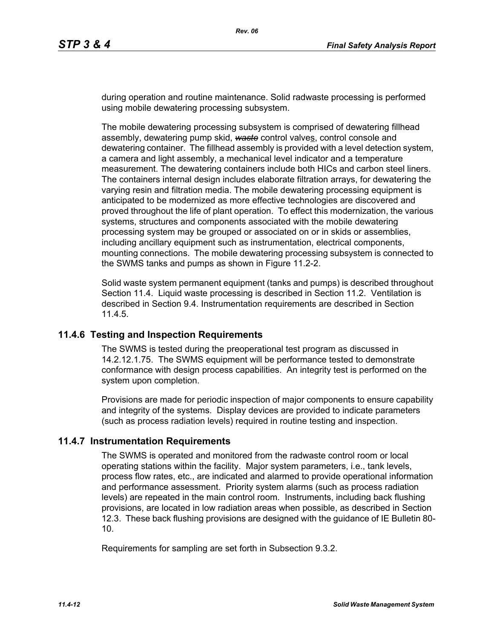during operation and routine maintenance. Solid radwaste processing is performed using mobile dewatering processing subsystem.

The mobile dewatering processing subsystem is comprised of dewatering fillhead assembly, dewatering pump skid, *waste* control valves, control console and dewatering container. The fillhead assembly is provided with a level detection system, a camera and light assembly, a mechanical level indicator and a temperature measurement. The dewatering containers include both HICs and carbon steel liners. The containers internal design includes elaborate filtration arrays, for dewatering the varying resin and filtration media. The mobile dewatering processing equipment is anticipated to be modernized as more effective technologies are discovered and proved throughout the life of plant operation. To effect this modernization, the various systems, structures and components associated with the mobile dewatering processing system may be grouped or associated on or in skids or assemblies, including ancillary equipment such as instrumentation, electrical components, mounting connections. The mobile dewatering processing subsystem is connected to the SWMS tanks and pumps as shown in Figure 11.2-2.

Solid waste system permanent equipment (tanks and pumps) is described throughout Section 11.4. Liquid waste processing is described in Section 11.2. Ventilation is described in Section 9.4. Instrumentation requirements are described in Section 11.4.5.

# **11.4.6 Testing and Inspection Requirements**

The SWMS is tested during the preoperational test program as discussed in 14.2.12.1.75. The SWMS equipment will be performance tested to demonstrate conformance with design process capabilities. An integrity test is performed on the system upon completion.

Provisions are made for periodic inspection of major components to ensure capability and integrity of the systems. Display devices are provided to indicate parameters (such as process radiation levels) required in routine testing and inspection.

# **11.4.7 Instrumentation Requirements**

The SWMS is operated and monitored from the radwaste control room or local operating stations within the facility. Major system parameters, i.e., tank levels, process flow rates, etc., are indicated and alarmed to provide operational information and performance assessment. Priority system alarms (such as process radiation levels) are repeated in the main control room. Instruments, including back flushing provisions, are located in low radiation areas when possible, as described in Section 12.3. These back flushing provisions are designed with the guidance of IE Bulletin 80- 10.

Requirements for sampling are set forth in Subsection 9.3.2.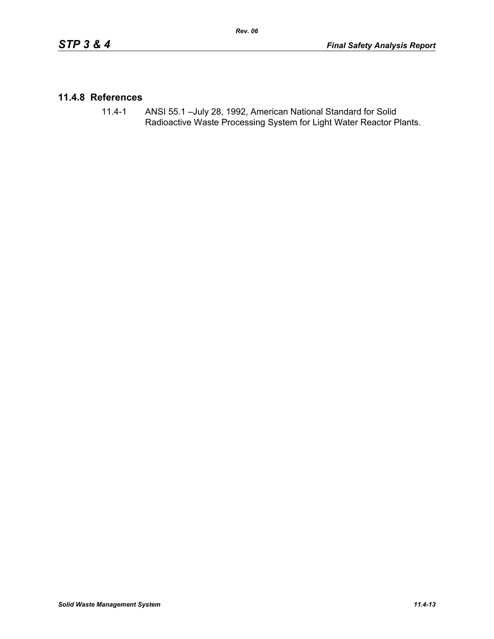# **11.4.8 References**

11.4-1 ANSI 55.1 –July 28, 1992, American National Standard for Solid Radioactive Waste Processing System for Light Water Reactor Plants.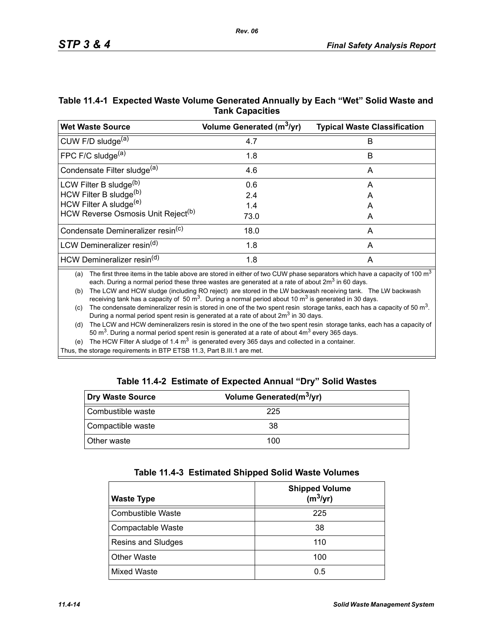| Table 11.4-1 Expected Waste Volume Generated Annually by Each "Wet" Solid Waste and |
|-------------------------------------------------------------------------------------|
| <b>Tank Capacities</b>                                                              |

| <b>Wet Waste Source</b>                        | Volume Generated (m <sup>3</sup> /yr) | <b>Typical Waste Classification</b> |
|------------------------------------------------|---------------------------------------|-------------------------------------|
| CUW F/D sludge <sup>(a)</sup>                  | 4.7                                   | B                                   |
| FPC F/C sludge $(a)$                           | 1.8                                   | В                                   |
| Condensate Filter sludge <sup>(a)</sup>        | 4.6                                   | A                                   |
| LCW Filter B sludge <sup>(b)</sup>             | 0.6                                   | A                                   |
| HCW Filter B sludge(b)                         | 2.4                                   | A                                   |
| HCW Filter A sludge <sup>(e)</sup>             | 1.4                                   | А                                   |
| HCW Reverse Osmosis Unit Reject <sup>(b)</sup> | 73.0                                  | A                                   |
| Condensate Demineralizer resin <sup>(c)</sup>  | 18.0                                  | A                                   |
| LCW Demineralizer resin <sup>(d)</sup>         | 1.8                                   | A                                   |
| HCW Demineralizer resin <sup>(d)</sup>         | 1.8                                   | A                                   |

(a) The first three items in the table above are stored in either of two CUW phase separators which have a capacity of 100  $m<sup>3</sup>$ each. During a normal period these three wastes are generated at a rate of about  $2m<sup>3</sup>$  in 60 days.

(b) The LCW and HCW sludge (including RO reject) are stored in the LW backwash receiving tank. The LW backwash receiving tank has a capacity of 50  $\text{m}^3$ . During a normal period about 10  $\text{m}^3$  is generated in 30 days.

(c) The condensate demineralizer resin is stored in one of the two spent resin storage tanks, each has a capacity of 50  $m<sup>3</sup>$ . During a normal period spent resin is generated at a rate of about 2m<sup>3</sup> in 30 days.

(d) The LCW and HCW demineralizers resin is stored in the one of the two spent resin storage tanks, each has a capacity of 50  $\text{m}^3$ . During a normal period spent resin is generated at a rate of about  $4\text{m}^3$  every 365 days.

(e) The HCW Filter A sludge of 1.4  $m<sup>3</sup>$  is generated every 365 days and collected in a container.

Thus, the storage requirements in BTP ETSB 11.3, Part B.III.1 are met.

|  | Table 11.4-2 Estimate of Expected Annual "Dry" Solid Wastes |  |  |  |
|--|-------------------------------------------------------------|--|--|--|
|--|-------------------------------------------------------------|--|--|--|

| Dry Waste Source   | Volume Generated(m <sup>3</sup> /yr) |  |
|--------------------|--------------------------------------|--|
| Combustible waste  | 225                                  |  |
| Compactible waste  | 38                                   |  |
| <b>Other waste</b> | 100                                  |  |

| <b>Waste Type</b>        | <b>Shipped Volume</b><br>$(m^3/yr)$ |
|--------------------------|-------------------------------------|
| <b>Combustible Waste</b> | 225                                 |
| Compactable Waste        | 38                                  |
| Resins and Sludges       | 110                                 |
| <b>Other Waste</b>       | 100                                 |
| Mixed Waste              | 0.5                                 |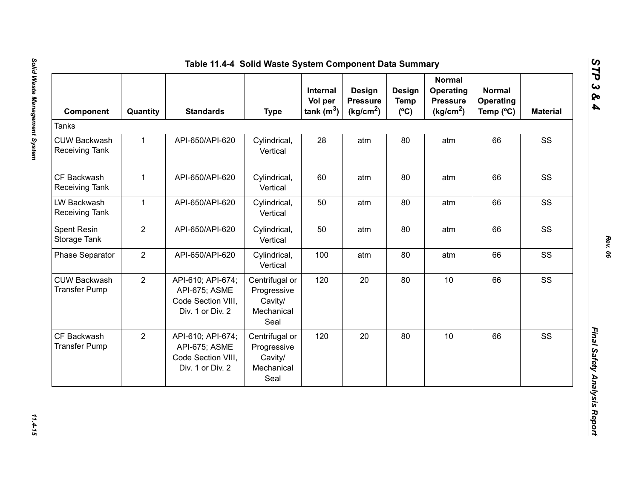| Component                                    | Quantity       | <b>Standards</b>                                                             | <b>Type</b>                                                    | Internal<br>Vol per<br>tank $(m^3)$ | <b>Design</b><br><b>Pressure</b><br>(kg/cm <sup>2</sup> ) | Design<br><b>Temp</b><br>$(^{\circ}C)$ | <b>Normal</b><br>Operating<br><b>Pressure</b><br>(kg/cm <sup>2</sup> ) | <b>Normal</b><br>Operating<br>Temp (°C) | <b>Material</b> |
|----------------------------------------------|----------------|------------------------------------------------------------------------------|----------------------------------------------------------------|-------------------------------------|-----------------------------------------------------------|----------------------------------------|------------------------------------------------------------------------|-----------------------------------------|-----------------|
| <b>Tanks</b>                                 |                |                                                                              |                                                                |                                     |                                                           |                                        |                                                                        |                                         |                 |
| <b>CUW Backwash</b><br><b>Receiving Tank</b> | $\mathbf{1}$   | API-650/API-620                                                              | Cylindrical,<br>Vertical                                       | 28                                  | atm                                                       | 80                                     | atm                                                                    | 66                                      | SS              |
| CF Backwash<br>Receiving Tank                | $\mathbf 1$    | API-650/API-620                                                              | Cylindrical,<br>Vertical                                       | 60                                  | atm                                                       | 80                                     | atm                                                                    | 66                                      | SS              |
| LW Backwash<br><b>Receiving Tank</b>         | $\mathbf{1}$   | API-650/API-620                                                              | Cylindrical,<br>Vertical                                       | 50                                  | atm                                                       | 80                                     | atm                                                                    | 66                                      | SS              |
| Spent Resin<br>Storage Tank                  | $\overline{2}$ | API-650/API-620                                                              | Cylindrical,<br>Vertical                                       | 50                                  | atm                                                       | 80                                     | atm                                                                    | 66                                      | SS              |
| <b>Phase Separator</b>                       | $\overline{2}$ | API-650/API-620                                                              | Cylindrical,<br>Vertical                                       | 100                                 | atm                                                       | 80                                     | atm                                                                    | 66                                      | SS              |
| <b>CUW Backwash</b><br><b>Transfer Pump</b>  | $\overline{2}$ | API-610; API-674;<br>API-675; ASME<br>Code Section VIII,<br>Div. 1 or Div. 2 | Centrifugal or<br>Progressive<br>Cavity/<br>Mechanical<br>Seal | 120                                 | 20                                                        | 80                                     | 10                                                                     | 66                                      | SS              |
| CF Backwash<br><b>Transfer Pump</b>          | $\overline{2}$ | API-610; API-674;<br>API-675; ASME<br>Code Section VIII,<br>Div. 1 or Div. 2 | Centrifugal or<br>Progressive<br>Cavity/<br>Mechanical<br>Seal | 120                                 | 20                                                        | 80                                     | 10                                                                     | 66                                      | SS              |

*STP 3 & 4*

11.4-15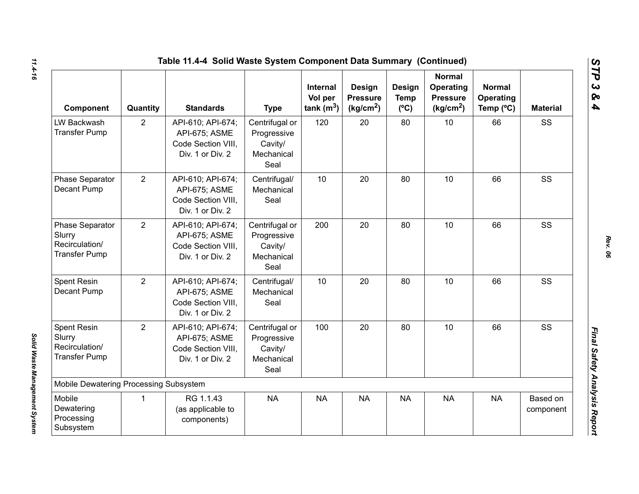|                                                                            | Table 11.4-4 Solid Waste System Component Data Summary (Continued) |                                                                              |                                                                |                                            |                                                    |                                        |                                                                        |                                         |                       |  |  |
|----------------------------------------------------------------------------|--------------------------------------------------------------------|------------------------------------------------------------------------------|----------------------------------------------------------------|--------------------------------------------|----------------------------------------------------|----------------------------------------|------------------------------------------------------------------------|-----------------------------------------|-----------------------|--|--|
| Component                                                                  | Quantity                                                           | <b>Standards</b>                                                             | <b>Type</b>                                                    | <b>Internal</b><br>Vol per<br>tank $(m^3)$ | Design<br><b>Pressure</b><br>(kg/cm <sup>2</sup> ) | Design<br><b>Temp</b><br>$(^{\circ}C)$ | <b>Normal</b><br>Operating<br><b>Pressure</b><br>(kg/cm <sup>2</sup> ) | <b>Normal</b><br>Operating<br>Temp (°C) | <b>Material</b>       |  |  |
| LW Backwash<br><b>Transfer Pump</b>                                        | $\overline{2}$                                                     | API-610; API-674;<br>API-675; ASME<br>Code Section VIII,<br>Div. 1 or Div. 2 | Centrifugal or<br>Progressive<br>Cavity/<br>Mechanical<br>Seal | 120                                        | 20                                                 | 80                                     | 10                                                                     | 66                                      | SS                    |  |  |
| Phase Separator<br>Decant Pump                                             | 2                                                                  | API-610; API-674;<br>API-675; ASME<br>Code Section VIII.<br>Div. 1 or Div. 2 | Centrifugal/<br>Mechanical<br>Seal                             | 10                                         | 20                                                 | 80                                     | 10                                                                     | 66                                      | SS                    |  |  |
| <b>Phase Separator</b><br>Slurry<br>Recirculation/<br><b>Transfer Pump</b> | $\overline{2}$                                                     | API-610; API-674;<br>API-675; ASME<br>Code Section VIII,<br>Div. 1 or Div. 2 | Centrifugal or<br>Progressive<br>Cavity/<br>Mechanical<br>Seal | 200                                        | 20                                                 | 80                                     | 10                                                                     | 66                                      | SS                    |  |  |
| Spent Resin<br>Decant Pump                                                 | $\overline{2}$                                                     | API-610; API-674;<br>API-675; ASME<br>Code Section VIII.<br>Div. 1 or Div. 2 | Centrifugal/<br>Mechanical<br>Seal                             | 10                                         | 20                                                 | 80                                     | 10                                                                     | 66                                      | SS                    |  |  |
| <b>Spent Resin</b><br>Slurry<br>Recirculation/<br><b>Transfer Pump</b>     | $\overline{2}$                                                     | API-610; API-674;<br>API-675; ASME<br>Code Section VIII.<br>Div. 1 or Div. 2 | Centrifugal or<br>Progressive<br>Cavity/<br>Mechanical<br>Seal | 100                                        | 20                                                 | 80                                     | 10                                                                     | 66                                      | SS                    |  |  |
| Mobile Dewatering Processing Subsystem                                     |                                                                    |                                                                              |                                                                |                                            |                                                    |                                        |                                                                        |                                         |                       |  |  |
| Mobile<br>Dewatering<br>Processing<br>Subsystem                            | $\mathbf{1}$                                                       | RG 1.1.43<br>(as applicable to<br>components)                                | <b>NA</b>                                                      | <b>NA</b>                                  | <b>NA</b>                                          | <b>NA</b>                              | <b>NA</b>                                                              | <b>NA</b>                               | Based on<br>component |  |  |

*Solid Waste Management System* 

Solid Waste Management System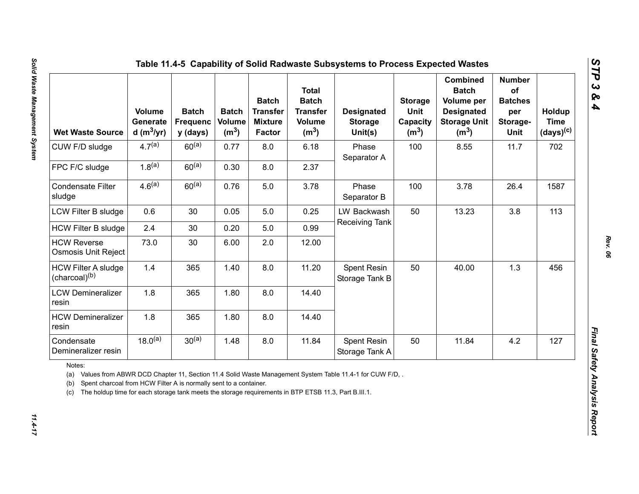| <b>Wet Waste Source</b>                                                                                                                                                                                  | <b>Volume</b><br>Generate<br>d (m $3$ /yr) | <b>Batch</b><br><b>Frequenc</b><br>y (days) | <b>Batch</b><br>Volume<br>(m <sup>3</sup> ) | <b>Batch</b><br><b>Transfer</b><br><b>Mixture</b><br><b>Factor</b> | <b>Total</b><br><b>Batch</b><br><b>Transfer</b><br><b>Volume</b><br>(m <sup>3</sup> ) | <b>Designated</b><br><b>Storage</b><br>Unit(s)                                                          | <b>Storage</b><br>Unit<br>Capacity<br>(m <sup>3</sup> ) | <b>Combined</b><br><b>Batch</b><br>Volume per<br><b>Designated</b><br><b>Storage Unit</b><br>(m <sup>3</sup> ) | <b>Number</b><br>of<br><b>Batches</b><br>per<br>Storage-<br>Unit | Holdup<br><b>Time</b><br>$(days)^{(c)}$ |  |
|----------------------------------------------------------------------------------------------------------------------------------------------------------------------------------------------------------|--------------------------------------------|---------------------------------------------|---------------------------------------------|--------------------------------------------------------------------|---------------------------------------------------------------------------------------|---------------------------------------------------------------------------------------------------------|---------------------------------------------------------|----------------------------------------------------------------------------------------------------------------|------------------------------------------------------------------|-----------------------------------------|--|
| CUW F/D sludge                                                                                                                                                                                           | $4.7^{(a)}$                                | $60^{(a)}$                                  | 0.77                                        | 8.0                                                                | 6.18                                                                                  | Phase<br>Separator A                                                                                    | 100                                                     | 8.55                                                                                                           | 11.7                                                             | 702                                     |  |
| FPC F/C sludge                                                                                                                                                                                           | $1.8^{(a)}$                                | $60^{(a)}$                                  | 0.30                                        | 8.0                                                                | 2.37                                                                                  |                                                                                                         |                                                         |                                                                                                                |                                                                  |                                         |  |
| <b>Condensate Filter</b><br>sludge                                                                                                                                                                       | 4.6 <sup>(a)</sup>                         | $60^{(a)}$                                  | 0.76                                        | 5.0                                                                | 3.78                                                                                  | Phase<br>Separator B                                                                                    | 100                                                     | 3.78                                                                                                           | 26.4                                                             | 1587                                    |  |
| LCW Filter B sludge                                                                                                                                                                                      | 0.6                                        | 30                                          | 0.05                                        | 5.0                                                                | 0.25                                                                                  | LW Backwash<br>Receiving Tank                                                                           | 50                                                      | 13.23                                                                                                          | 3.8                                                              | 113                                     |  |
| <b>HCW Filter B sludge</b>                                                                                                                                                                               | 2.4                                        | 30                                          | 0.20                                        | 5.0                                                                | 0.99                                                                                  |                                                                                                         |                                                         |                                                                                                                |                                                                  |                                         |  |
| <b>HCW Reverse</b><br>Osmosis Unit Reject                                                                                                                                                                | 73.0                                       | 30                                          | 6.00                                        | 2.0                                                                | 12.00                                                                                 |                                                                                                         |                                                         |                                                                                                                |                                                                  |                                         |  |
| <b>HCW Filter A sludge</b><br>(charcoal) <sup>(b)</sup>                                                                                                                                                  | 1.4                                        | 365                                         | 1.40                                        | 8.0                                                                | 11.20                                                                                 | Spent Resin<br>Storage Tank B                                                                           | 50                                                      | 40.00                                                                                                          | 1.3                                                              | 456                                     |  |
| <b>LCW Demineralizer</b><br>resin                                                                                                                                                                        | 1.8                                        | 365                                         | 1.80                                        | 8.0                                                                | 14.40                                                                                 |                                                                                                         |                                                         |                                                                                                                |                                                                  |                                         |  |
| <b>HCW Demineralizer</b><br>resin                                                                                                                                                                        | 1.8                                        | 365                                         | 1.80                                        | 8.0                                                                | 14.40                                                                                 |                                                                                                         |                                                         |                                                                                                                |                                                                  |                                         |  |
| Condensate<br>Demineralizer resin                                                                                                                                                                        | $18.0^{(a)}$                               | $30^{(a)}$                                  | 1.48                                        | 8.0                                                                | 11.84                                                                                 | Spent Resin<br>Storage Tank A                                                                           | 50                                                      | 11.84                                                                                                          | 4.2                                                              | 127                                     |  |
| Notes:<br>(a)<br>Spent charcoal from HCW Filter A is normally sent to a container.<br>(b)<br>The holdup time for each storage tank meets the storage requirements in BTP ETSB 11.3, Part B.III.1.<br>(c) |                                            |                                             |                                             |                                                                    |                                                                                       | Values from ABWR DCD Chapter 11, Section 11.4 Solid Waste Management System Table 11.4-1 for CUW F/D, . |                                                         |                                                                                                                |                                                                  |                                         |  |

 $11.4 - 17$ 

*STP 3 & 4*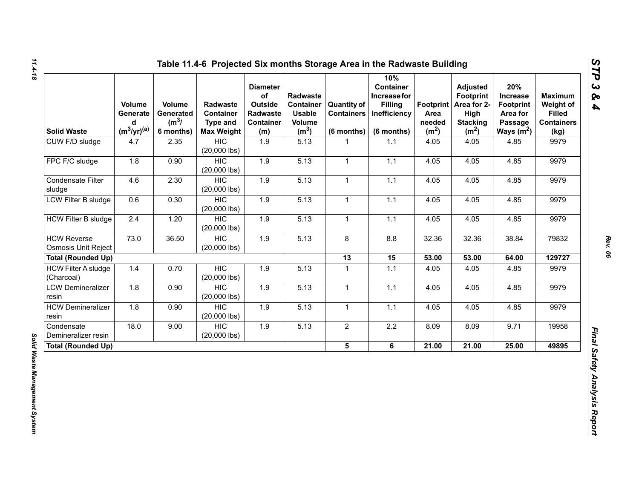| <b>Solid Waste</b>                               | Volume<br>Generate<br>d<br>$(m^3/yr)^{(a)}$ | Volume<br>Generated<br>$(m^3)$<br>6 months) | <b>Radwaste</b><br>Container<br><b>Type and</b><br><b>Max Weight</b> | <b>Diameter</b><br>of<br>Outside<br>Radwaste<br><b>Container</b><br>(m) | Radwaste<br><b>Container</b><br><b>Usable</b><br>Volume<br>(m <sup>3</sup> ) | <b>Quantity of</b><br><b>Containers</b><br>$(6$ months) | 10%<br><b>Container</b><br>Increase for<br><b>Filling</b><br>Inefficiency<br>(6 months) | Footprint  <br>Area<br>needed<br>(m <sup>2</sup> ) | <b>Adjusted</b><br><b>Footprint</b><br>Area for 2-<br>High<br><b>Stacking</b><br>(m <sup>2</sup> ) | 20%<br><b>Increase</b><br><b>Footprint</b><br>Area for<br>Passage<br>Ways $(m^2)$ | <b>Maximum</b><br>Weight of<br><b>Filled</b><br><b>Containers</b><br>(kg) |
|--------------------------------------------------|---------------------------------------------|---------------------------------------------|----------------------------------------------------------------------|-------------------------------------------------------------------------|------------------------------------------------------------------------------|---------------------------------------------------------|-----------------------------------------------------------------------------------------|----------------------------------------------------|----------------------------------------------------------------------------------------------------|-----------------------------------------------------------------------------------|---------------------------------------------------------------------------|
| CUW F/D sludge                                   | 4.7                                         | 2.35                                        | <b>HIC</b><br>$(20,000$ lbs)                                         | 1.9                                                                     | 5.13                                                                         | 1                                                       | 1.1                                                                                     | 4.05                                               | 4.05                                                                                               | 4.85                                                                              | 9979                                                                      |
| FPC F/C sludge                                   | 1.8                                         | 0.90                                        | <b>HIC</b><br>$(20,000$ lbs)                                         | 1.9                                                                     | 5.13                                                                         | $\mathbf{1}$                                            | 1.1                                                                                     | 4.05                                               | 4.05                                                                                               | 4.85                                                                              | 9979                                                                      |
| Condensate Filter<br>sludge                      | 4.6                                         | 2.30                                        | <b>HIC</b><br>$(20,000$ lbs)                                         | 1.9                                                                     | 5.13                                                                         | $\mathbf{1}$                                            | 1.1                                                                                     | 4.05                                               | 4.05                                                                                               | 4.85                                                                              | 9979                                                                      |
| LCW Filter B sludge                              | 0.6                                         | 0.30                                        | <b>HIC</b><br>$(20,000$ lbs)                                         | 1.9                                                                     | 5.13                                                                         | $\mathbf{1}$                                            | $1.1$                                                                                   | 4.05                                               | 4.05                                                                                               | 4.85                                                                              | 9979                                                                      |
| <b>HCW Filter B sludge</b>                       | 2.4                                         | 1.20                                        | <b>HIC</b><br>$(20,000$ lbs)                                         | 1.9                                                                     | 5.13                                                                         | $\mathbf{1}$                                            | 1.1                                                                                     | 4.05                                               | 4.05                                                                                               | 4.85                                                                              | 9979                                                                      |
| <b>HCW Reverse</b><br><b>Osmosis Unit Reject</b> | 73.0                                        | 36.50                                       | <b>HIC</b><br>$(20,000$ lbs)                                         | 1.9                                                                     | 5.13                                                                         | 8                                                       | 8.8                                                                                     | 32.36                                              | 32.36                                                                                              | 38.84                                                                             | 79832                                                                     |
| <b>Total (Rounded Up)</b>                        |                                             |                                             |                                                                      |                                                                         |                                                                              | 13                                                      | 15                                                                                      | 53.00                                              | 53.00                                                                                              | 64.00                                                                             | 129727                                                                    |
| <b>HCW Filter A sludge</b><br>(Charcoal)         | 1.4                                         | 0.70                                        | <b>HIC</b><br>$(20,000$ lbs)                                         | 1.9                                                                     | 5.13                                                                         | $\mathbf{1}$                                            | $1.1$                                                                                   | 4.05                                               | 4.05                                                                                               | 4.85                                                                              | 9979                                                                      |
| <b>LCW Demineralizer</b><br>resin                | 1.8                                         | 0.90                                        | <b>HIC</b><br>$(20,000$ lbs)                                         | 1.9                                                                     | 5.13                                                                         | $\mathbf{1}$                                            | 1.1                                                                                     | 4.05                                               | 4.05                                                                                               | 4.85                                                                              | 9979                                                                      |
| <b>HCW Demineralizer</b><br>resin                | 1.8                                         | 0.90                                        | <b>HIC</b><br>$(20,000$ lbs)                                         | 1.9                                                                     | 5.13                                                                         | 1                                                       | 1.1                                                                                     | 4.05                                               | 4.05                                                                                               | 4.85                                                                              | 9979                                                                      |
| Condensate<br>Demineralizer resin                | 18.0                                        | 9.00                                        | <b>HIC</b><br>$(20,000$ lbs)                                         | 1.9                                                                     | 5.13                                                                         | $\overline{2}$                                          | $2.2\,$                                                                                 | 8.09                                               | 8.09                                                                                               | 9.71                                                                              | 19958                                                                     |
| <b>Total (Rounded Up)</b>                        |                                             |                                             |                                                                      |                                                                         |                                                                              | 5 <sup>5</sup>                                          | 6                                                                                       | 21.00                                              | 21.00                                                                                              | 25.00                                                                             | 49895                                                                     |

*STP 3 & 4*